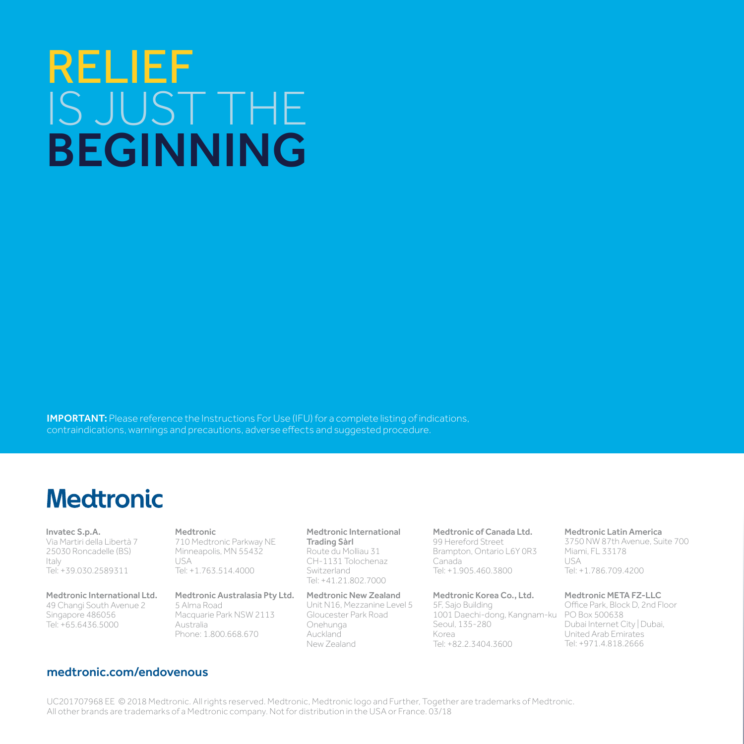# RELIEF IS JUST THE BEGINNING

IMPORTANT: Please reference the Instructions For Use (IFU) for a complete listing of indications, contraindications, warnings and precautions, adverse effects and suggested procedure.

## **Medtronic**

Invatec S.p.A. Via Martiri della Libertà 7 25030 Roncadelle (BS) Italy Tel: +39.030.2589311

Medtronic International Ltd. 49 Changi South Avenue 2 Singapore 486056 Tel: +65.6436.5000

Medtronic 710 Medtronic Parkway NE Minneapolis, MN 55432  $IISA$ Tel: +1.763.514.4000

Medtronic Australasia Pty Ltd. 5 Alma Road Macquarie Park NSW 2113 Australia Phone: 1.800.668.670

Medtronic International Trading Sàrl Route du Molliau 31 CH-1131 Tolochenaz Switzerland Tel: +41.21.802.7000

Medtronic New Zealand Unit N16, Mezzanine Level 5 Gloucester Park Road Onehunga Auckland New Zealand

Medtronic of Canada Ltd. 99 Hereford Street

Brampton, Ontario L6Y 0R3 Canada Tel: +1.905.460.3800

Medtronic Korea Co., Ltd. 5F, Sajo Building

1001 Daechi-dong, Kangnam-ku Seoul, 135-280 Korea Tel: +82.2.3404.3600

Medtronic Latin America

3750 NW 87th Avenue, Suite 700 Miami, FL 33178 USA Tel: +1.786.709.4200

Medtronic META FZ-LLC

Office Park, Block D, 2nd Floor PO Box 500638 Dubai Internet City | Dubai, United Arab Emirates Tel: +971.4.818.2666

#### medtronic.com/endovenous

UC201707968 EE © 2018 Medtronic. All rights reserved. Medtronic, Medtronic logo and Further, Together are trademarks of Medtronic. All other brands are trademarks of a Medtronic company. Not for distribution in the USA or France. 03/18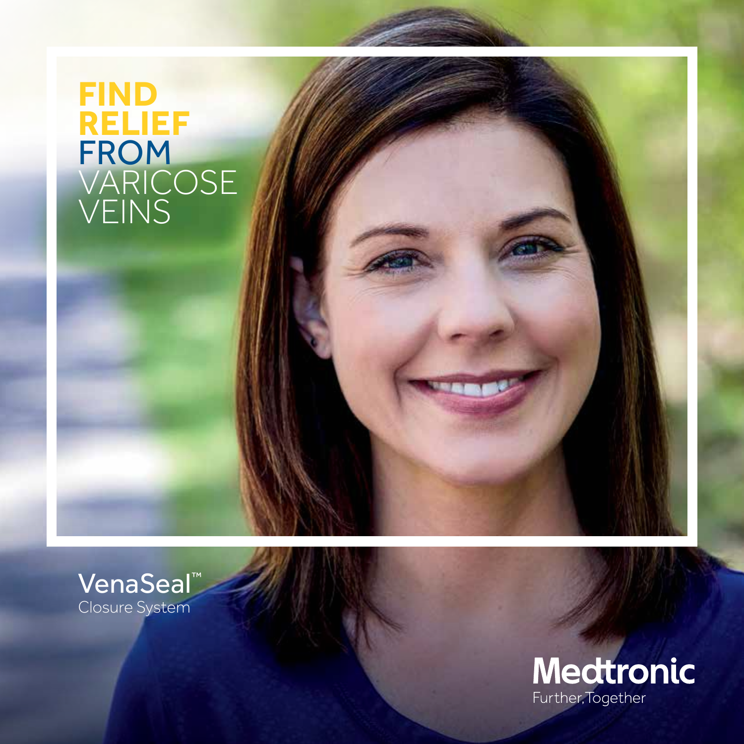## **FIND RELIEF** FROM VARICOSE VEINS



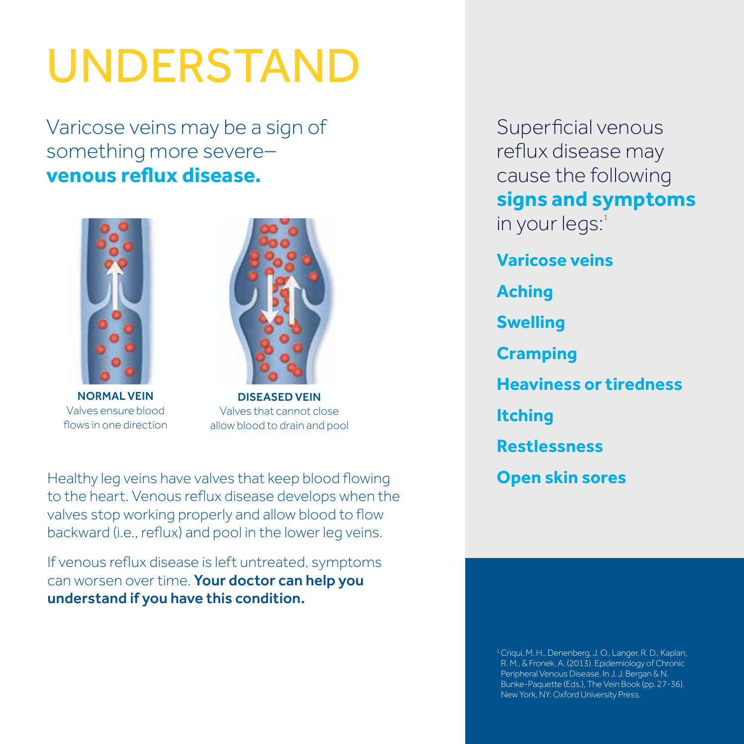# UNDERSTAND

Varicose veins may be a sign of something more severe– **venous reflux disease.**



NORMAL VEIN Valves ensure blood flows in one direction



DISEASED VEIN Valves that cannot close allow blood to drain and pool

Healthy leg veins have valves that keep blood flowing to the heart. Venous reflux disease develops when the valves stop working properly and allow blood to flow backward (i.e., reflux) and pool in the lower leg veins.

If venous reflux disease is left untreated, symptoms can worsen over time. Your doctor can help you understand if you have this condition.

Superficial venous reflux disease may cause the following **signs and symptoms**  in your  $\text{legs}^1$ 

**Varicose veins Aching Swelling Cramping Heaviness or tiredness Itching Restlessness Open skin sores**

<sup>1</sup> Criqui, M. H., Denenberg, J. O., Langer, R. D., Kaplan, R. M., & Fronek, A. (2013). Epidemiology of Chronic Peripheral Venous Disease. In J. J. Bergan & N. Bunke-Paquette (Eds.), The Vein Book (pp. 27-36). New York, NY: Oxford University Press.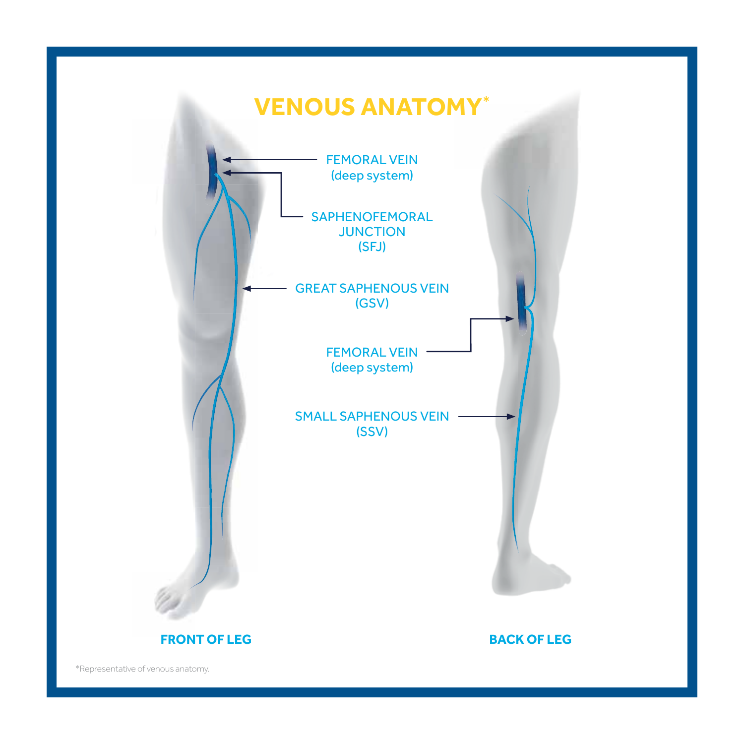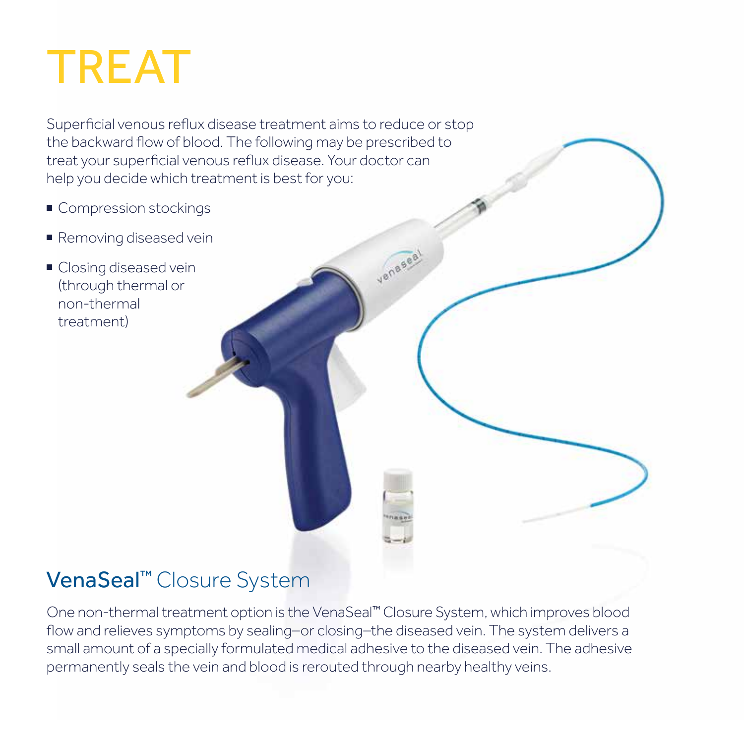# TREAT

Superficial venous reflux disease treatment aims to reduce or stop the backward flow of blood. The following may be prescribed to treat your superficial venous reflux disease. Your doctor can help you decide which treatment is best for you:

- Compression stockings
- Removing diseased vein
- Closing diseased vein (through thermal or non-thermal treatment)

### VenaSeal<sup>™</sup> Closure System

One non-thermal treatment option is the VenaSeal™ Closure System, which improves blood flow and relieves symptoms by sealing-or closing-the diseased vein. The system delivers a small amount of a specially formulated medical adhesive to the diseased vein. The adhesive permanently seals the vein and blood is rerouted through nearby healthy veins.

veneseal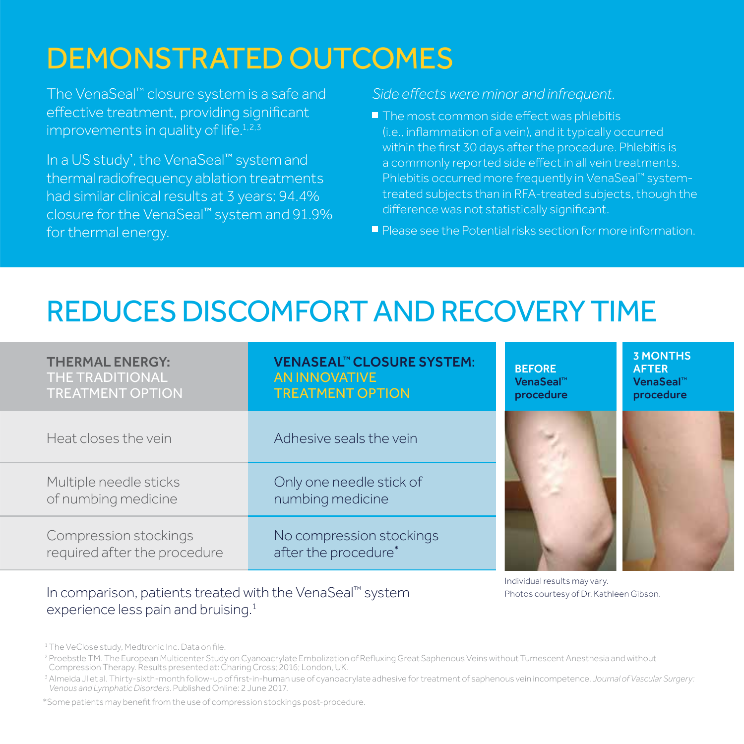## DEMONSTRATED OUTCOMES

The VenaSeal™ closure system is a safe and effective treatment, providing significant improvements in quality of life.<sup>1,2,3</sup>

In a US study', the VenaSeal™ system and thermal radiofrequency ablation treatments had similar clinical results at 3 years; 94.4% closure for the VenaSeal™ system and 91.9% for thermal energy.

#### *Side effects were minor and infrequent.*

- $\blacksquare$  The most common side effect was phlebitis (i.e., inflammation of a vein), and it typically occurred within the first 30 days after the procedure. Phlebitis is a commonly reported side effect in all vein treatments. Phlebitis occurred more frequently in VenaSeal™ systemtreated subjects than in RFA-treated subjects, though the difference was not statistically significant.
- **Please see the Potential risks section for more information.**

## REDUCES DISCOMFORT AND RECOVERY TIME

| <b>THERMAL ENERGY:</b><br><b>THE TRADITIONAL</b><br><b>TREATMENT OPTION</b> | <b>VENASEAL™ CLOSURE SYSTEM:</b><br><b>AN INNOVATIVE</b><br><b>TREATMENT OPTION</b> | <b>BEFORE</b><br>VenaSeal <sup>™</sup><br>procedure |
|-----------------------------------------------------------------------------|-------------------------------------------------------------------------------------|-----------------------------------------------------|
| Heat closes the vein                                                        | Adhesive seals the vein                                                             |                                                     |
| Multiple needle sticks<br>of numbing medicine                               | Only one needle stick of<br>numbing medicine                                        |                                                     |
| Compression stockings<br>required after the procedure                       | No compression stockings<br>after the procedure*                                    |                                                     |

In comparison, patients treated with the VenaSeal™ system experience less pain and bruising.<sup>1</sup>

Photos courtesy of Dr. Kathleen Gibson. Individual results may vary.

3 MONTHS AFTER VenaSeal™ procedure

<sup>&</sup>lt;sup>1</sup> The VeClose study, Medtronic Inc. Data on file.

<sup>&</sup>lt;sup>2</sup> Proebstle TM. The European Multicenter Study on Cyanoacrylate Embolization of Refluxing Great Saphenous Veins without Tumescent Anesthesia and without<br>Compression Therapy. Results presented at: Charing Cross; 2016; Lon

<sup>3</sup>   Almeida JI et al. Thirty-sixth-month follow-up of first-in-human use of cyanoacrylate adhesive for treatment of saphenous vein incompetence. *Journal of Vascular Surgery: Venous and Lymphatic Disorders*. Published Online: 2 June 2017.

<sup>\*</sup>Some patients may benefit from the use of compression stockings post-procedure.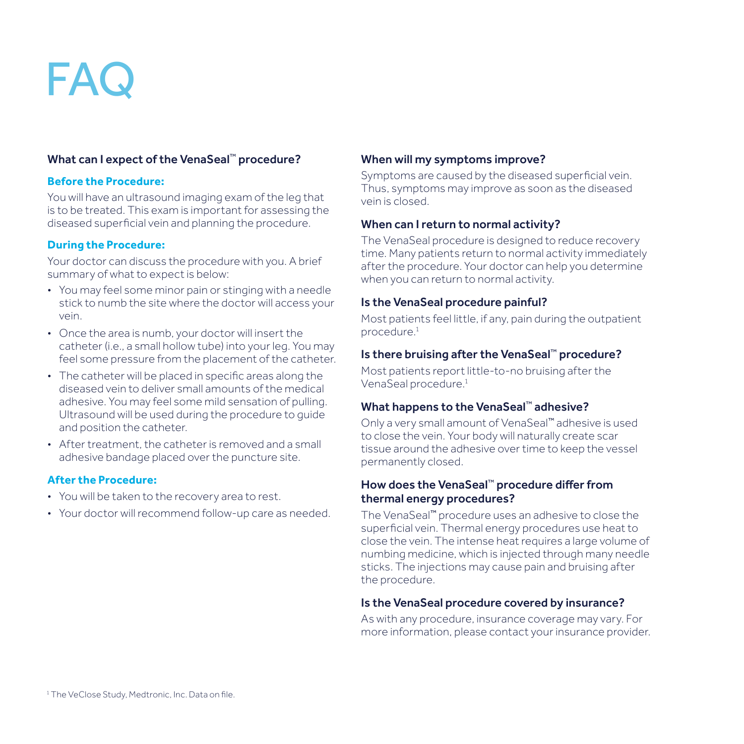# FA<sub>(</sub>

#### What can I expect of the VenaSeal™ procedure?

#### **Before the Procedure:**

You will have an ultrasound imaging exam of the leg that is to be treated. This exam is important for assessing the diseased superficial vein and planning the procedure.

#### **During the Procedure:**

Your doctor can discuss the procedure with you. A brief summary of what to expect is below:

- You may feel some minor pain or stinging with a needle stick to numb the site where the doctor will access your vein.
- Once the area is numb, your doctor will insert the catheter (i.e., a small hollow tube) into your leg. You may feel some pressure from the placement of the catheter.
- The catheter will be placed in specific areas along the diseased vein to deliver small amounts of the medical adhesive. You may feel some mild sensation of pulling. Ultrasound will be used during the procedure to guide and position the catheter.
- After treatment, the catheter is removed and a small adhesive bandage placed over the puncture site.

#### **After the Procedure:**

- You will be taken to the recovery area to rest.
- Your doctor will recommend follow-up care as needed.

#### When will my symptoms improve?

Symptoms are caused by the diseased superficial vein. Thus, symptoms may improve as soon as the diseased vein is closed.

#### When can I return to normal activity?

The VenaSeal procedure is designed to reduce recovery time. Many patients return to normal activity immediately after the procedure. Your doctor can help you determine when you can return to normal activity.

#### Is the VenaSeal procedure painful?

Most patients feel little, if any, pain during the outpatient procedure.<sup>1</sup>

#### Is there bruising after the VenaSeal™ procedure?

Most patients report little-to-no bruising after the VenaSeal procedure.<sup>1</sup>

#### What happens to the VenaSeal™ adhesive?

Only a very small amount of VenaSeal™ adhesive is used to close the vein. Your body will naturally create scar tissue around the adhesive over time to keep the vessel permanently closed.

#### How does the VenaSeal™ procedure differ from thermal energy procedures?

The VenaSeal™ procedure uses an adhesive to close the superficial vein. Thermal energy procedures use heat to close the vein. The intense heat requires a large volume of numbing medicine, which is injected through many needle sticks. The injections may cause pain and bruising after the procedure.

#### Is the VenaSeal procedure covered by insurance?

As with any procedure, insurance coverage may vary. For more information, please contact your insurance provider.